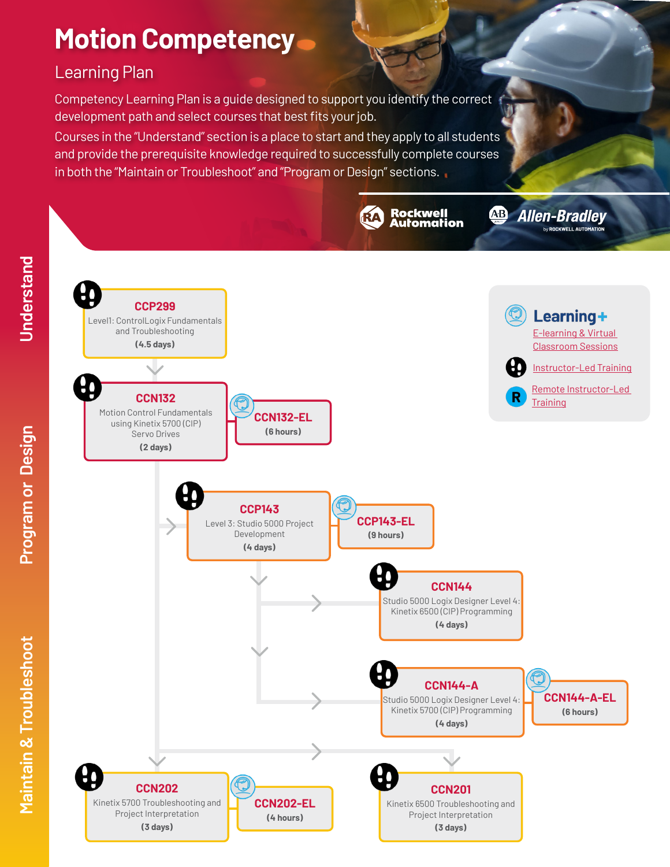# **Motion Competency**

## Learning Plan

Competency Learning Plan is a guide designed to support you identify the correct development path and select courses that best fits your job.

Courses in the "Understand" section is a place to start and they apply to all students and provide the prerequisite knowledge required to successfully complete courses in both the "Maintain or Troubleshoot" and "Program or Design" sections.